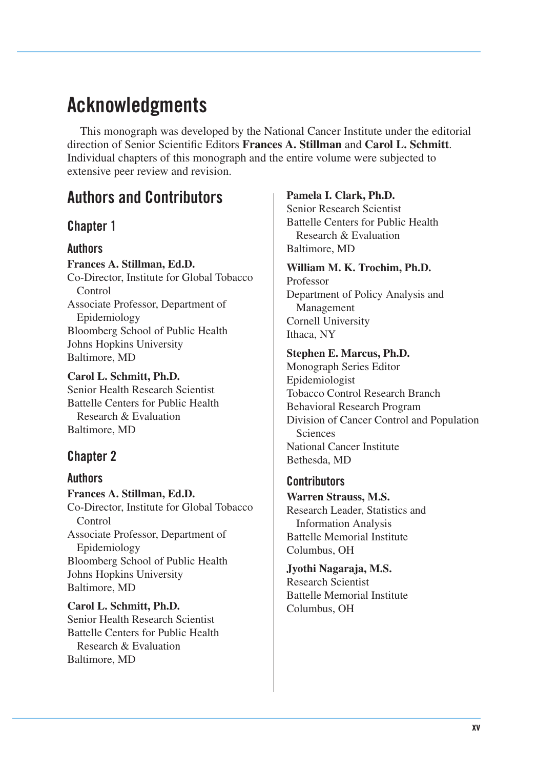# **Acknowledgments**

This monograph was developed by the National Cancer Institute under the editorial direction of Senior Scientific Editors **Frances A. Stillman** and **Carol L. Schmitt**. Individual chapters of this monograph and the entire volume were subjected to extensive peer review and revision.

# **Authors and Contributors**

## **Chapter 1**

### **Authors**

**Frances A. Stillman, Ed.D.**  Co-Director, Institute for Global Tobacco Control Associate Professor, Department of Epidemiology Bloomberg School of Public Health Johns Hopkins University Baltimore, MD

**Carol L. Schmitt, Ph.D.**  Senior Health Research Scientist Battelle Centers for Public Health Research & Evaluation Baltimore, MD

## **Chapter 2**

### **Authors**

**Frances A. Stillman, Ed.D.**  Co-Director, Institute for Global Tobacco Control Associate Professor, Department of Epidemiology Bloomberg School of Public Health Johns Hopkins University Baltimore, MD

**Carol L. Schmitt, Ph.D.**  Senior Health Research Scientist Battelle Centers for Public Health Research & Evaluation Baltimore, MD

#### **Pamela I. Clark, Ph.D.**

Senior Research Scientist Battelle Centers for Public Health Research & Evaluation Baltimore, MD

#### **William M. K. Trochim, Ph.D.**  Professor

Department of Policy Analysis and Management Cornell University Ithaca, NY

#### **Stephen E. Marcus, Ph.D.**

Monograph Series Editor Epidemiologist Tobacco Control Research Branch Behavioral Research Program Division of Cancer Control and Population **Sciences** National Cancer Institute Bethesda, MD

### **Contributors**

**Warren Strauss, M.S.**  Research Leader, Statistics and Information Analysis Battelle Memorial Institute Columbus, OH

**Jyothi Nagaraja, M.S.**  Research Scientist Battelle Memorial Institute Columbus, OH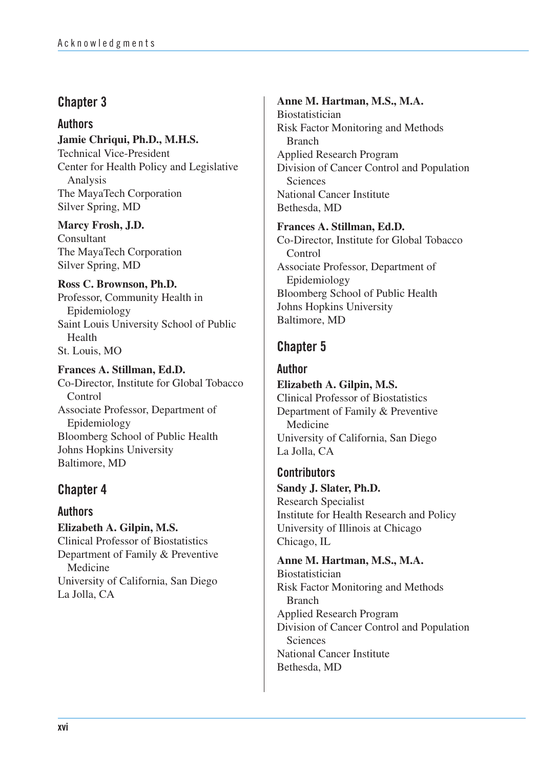**Authors Jamie Chriqui, Ph.D., M.H.S.**  Technical Vice-President Center for Health Policy and Legislative Analysis The MayaTech Corporation Silver Spring, MD

**Marcy Frosh, J.D.**  Consultant The MayaTech Corporation Silver Spring, MD

**Ross C. Brownson, Ph.D.**  Professor, Community Health in Epidemiology Saint Louis University School of Public Health St. Louis, MO

**Frances A. Stillman, Ed.D.**  Co-Director, Institute for Global Tobacco Control Associate Professor, Department of Epidemiology Bloomberg School of Public Health Johns Hopkins University Baltimore, MD

## **Chapter 4**

**Authors Elizabeth A. Gilpin, M.S.**  Clinical Professor of Biostatistics Department of Family & Preventive Medicine University of California, San Diego La Jolla, CA

## **Anne M. Hartman, M.S., M.A.**  Biostatistician Risk Factor Monitoring and Methods Branch Applied Research Program Division of Cancer Control and Population **Sciences** National Cancer Institute Bethesda, MD

**Frances A. Stillman, Ed.D.**  Co-Director, Institute for Global Tobacco **Control** Associate Professor, Department of Epidemiology Bloomberg School of Public Health Johns Hopkins University Baltimore, MD

## **Chapter 5**

**Author Elizabeth A. Gilpin, M.S.**  Clinical Professor of Biostatistics Department of Family & Preventive Medicine University of California, San Diego La Jolla, CA

**Contributors Sandy J. Slater, Ph.D.**  Research Specialist Institute for Health Research and Policy University of Illinois at Chicago Chicago, IL

**Anne M. Hartman, M.S., M.A.**  Biostatistician Risk Factor Monitoring and Methods Branch Applied Research Program Division of Cancer Control and Population Sciences National Cancer Institute Bethesda, MD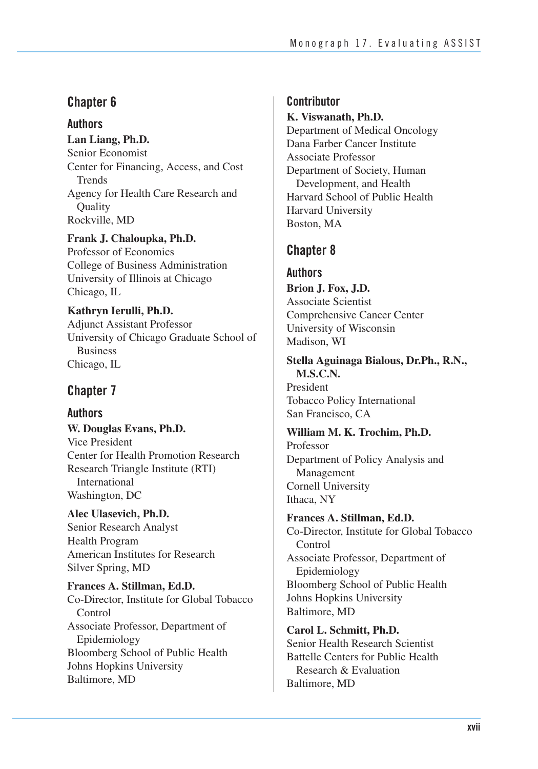## **Authors**

**Lan Liang, Ph.D.**  Senior Economist Center for Financing, Access, and Cost Trends Agency for Health Care Research and **Ouality** Rockville, MD

**Frank J. Chaloupka, Ph.D.**  Professor of Economics College of Business Administration University of Illinois at Chicago Chicago, IL

**Kathryn Ierulli, Ph.D.**  Adjunct Assistant Professor University of Chicago Graduate School of **Business** Chicago, IL

# **Chapter 7**

## **Authors**

**W. Douglas Evans, Ph.D.**  Vice President Center for Health Promotion Research Research Triangle Institute (RTI) International Washington, DC

**Alec Ulasevich, Ph.D.**  Senior Research Analyst Health Program American Institutes for Research Silver Spring, MD

**Frances A. Stillman, Ed.D.**  Co-Director, Institute for Global Tobacco Control Associate Professor, Department of Epidemiology Bloomberg School of Public Health Johns Hopkins University Baltimore, MD

## **Contributor**

**K. Viswanath, Ph.D.**  Department of Medical Oncology Dana Farber Cancer Institute Associate Professor Department of Society, Human Development, and Health Harvard School of Public Health Harvard University Boston, MA

# **Chapter 8**

**Authors Brion J. Fox, J.D.**  Associate Scientist Comprehensive Cancer Center University of Wisconsin Madison, WI

**Stella Aguinaga Bialous, Dr.Ph., R.N., M.S.C.N.** 

President Tobacco Policy International San Francisco, CA

## **William M. K. Trochim, Ph.D.**

Professor Department of Policy Analysis and Management Cornell University Ithaca, NY

**Frances A. Stillman, Ed.D.** 

Co-Director, Institute for Global Tobacco Control Associate Professor, Department of Epidemiology Bloomberg School of Public Health Johns Hopkins University Baltimore, MD

**Carol L. Schmitt, Ph.D.**  Senior Health Research Scientist Battelle Centers for Public Health Research & Evaluation Baltimore, MD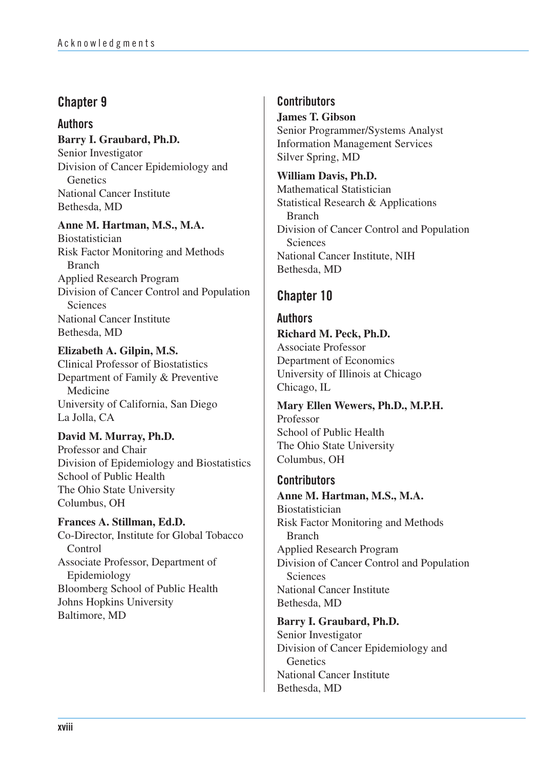### **Authors Barry I. Graubard, Ph.D.**

Senior Investigator Division of Cancer Epidemiology and **Genetics** National Cancer Institute Bethesda, MD

## **Anne M. Hartman, M.S., M.A.**

Biostatistician Risk Factor Monitoring and Methods Branch Applied Research Program Division of Cancer Control and Population **Sciences** National Cancer Institute Bethesda, MD

**Elizabeth A. Gilpin, M.S.**  Clinical Professor of Biostatistics Department of Family & Preventive Medicine University of California, San Diego La Jolla, CA

## **David M. Murray, Ph.D.**

Professor and Chair Division of Epidemiology and Biostatistics School of Public Health The Ohio State University Columbus, OH

**Frances A. Stillman, Ed.D.**  Co-Director, Institute for Global Tobacco **Control** Associate Professor, Department of Epidemiology Bloomberg School of Public Health Johns Hopkins University Baltimore, MD

## **Contributors**

**James T. Gibson**  Senior Programmer/Systems Analyst Information Management Services Silver Spring, MD

**William Davis, Ph.D.**  Mathematical Statistician Statistical Research & Applications Branch Division of Cancer Control and Population Sciences National Cancer Institute, NIH Bethesda, MD

# **Chapter 10**

# **Authors Richard M. Peck, Ph.D.**  Associate Professor Department of Economics

University of Illinois at Chicago Chicago, IL

**Mary Ellen Wewers, Ph.D., M.P.H.**  Professor School of Public Health The Ohio State University Columbus, OH

## **Contributors**

**Anne M. Hartman, M.S., M.A.**  Biostatistician Risk Factor Monitoring and Methods Branch Applied Research Program Division of Cancer Control and Population **Sciences** National Cancer Institute Bethesda, MD

**Barry I. Graubard, Ph.D.** 

Senior Investigator Division of Cancer Epidemiology and **Genetics** National Cancer Institute Bethesda, MD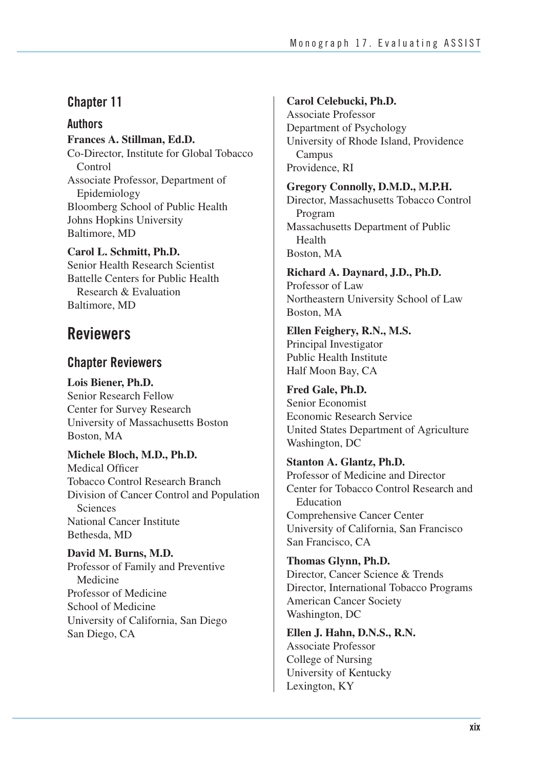**Authors Frances A. Stillman, Ed.D.**  Co-Director, Institute for Global Tobacco Control Associate Professor, Department of Epidemiology Bloomberg School of Public Health Johns Hopkins University Baltimore, MD

**Carol L. Schmitt, Ph.D.**  Senior Health Research Scientist Battelle Centers for Public Health Research & Evaluation Baltimore, MD

# **Reviewers**

## **Chapter Reviewers**

**Lois Biener, Ph.D.**  Senior Research Fellow Center for Survey Research University of Massachusetts Boston Boston, MA

**Michele Bloch, M.D., Ph.D.**  Medical Officer Tobacco Control Research Branch Division of Cancer Control and Population **Sciences** National Cancer Institute Bethesda, MD

**David M. Burns, M.D.**  Professor of Family and Preventive Medicine Professor of Medicine School of Medicine University of California, San Diego San Diego, CA

# **Carol Celebucki, Ph.D.**

Associate Professor Department of Psychology University of Rhode Island, Providence Campus Providence, RI

**Gregory Connolly, D.M.D., M.P.H.**  Director, Massachusetts Tobacco Control Program Massachusetts Department of Public Health Boston, MA

**Richard A. Daynard, J.D., Ph.D.**  Professor of Law Northeastern University School of Law Boston, MA

**Ellen Feighery, R.N., M.S.**  Principal Investigator Public Health Institute Half Moon Bay, CA

**Fred Gale, Ph.D.**  Senior Economist Economic Research Service United States Department of Agriculture Washington, DC

**Stanton A. Glantz, Ph.D.**  Professor of Medicine and Director Center for Tobacco Control Research and Education Comprehensive Cancer Center University of California, San Francisco San Francisco, CA

**Thomas Glynn, Ph.D.**  Director, Cancer Science & Trends Director, International Tobacco Programs American Cancer Society Washington, DC

**Ellen J. Hahn, D.N.S., R.N.**  Associate Professor College of Nursing University of Kentucky Lexington, KY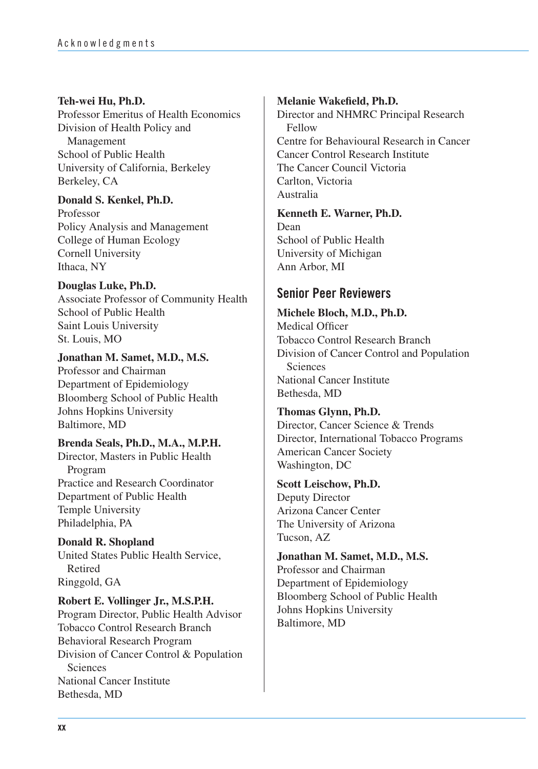### **Teh-wei Hu, Ph.D.**

Professor Emeritus of Health Economics Division of Health Policy and Management School of Public Health University of California, Berkeley Berkeley, CA

### **Donald S. Kenkel, Ph.D.**

Professor Policy Analysis and Management College of Human Ecology Cornell University Ithaca, NY

### **Douglas Luke, Ph.D.**

Associate Professor of Community Health School of Public Health Saint Louis University St. Louis, MO

### **Jonathan M. Samet, M.D., M.S.**

Professor and Chairman Department of Epidemiology Bloomberg School of Public Health Johns Hopkins University Baltimore, MD

### **Brenda Seals, Ph.D., M.A., M.P.H.**

Director, Masters in Public Health Program Practice and Research Coordinator Department of Public Health Temple University Philadelphia, PA

**Donald R. Shopland**  United States Public Health Service, Retired Ringgold, GA

**Robert E. Vollinger Jr., M.S.P.H.**  Program Director, Public Health Advisor Tobacco Control Research Branch Behavioral Research Program Division of Cancer Control & Population Sciences National Cancer Institute Bethesda, MD

### **Melanie Wakefield, Ph.D.**

Director and NHMRC Principal Research Fellow Centre for Behavioural Research in Cancer Cancer Control Research Institute The Cancer Council Victoria Carlton, Victoria Australia

### **Kenneth E. Warner, Ph.D.**

Dean School of Public Health University of Michigan Ann Arbor, MI

# **Senior Peer Reviewers**

### **Michele Bloch, M.D., Ph.D.**

Medical Officer Tobacco Control Research Branch Division of Cancer Control and Population **Sciences** National Cancer Institute Bethesda, MD

### **Thomas Glynn, Ph.D.**

Director, Cancer Science & Trends Director, International Tobacco Programs American Cancer Society Washington, DC

### **Scott Leischow, Ph.D.**

Deputy Director Arizona Cancer Center The University of Arizona Tucson, AZ

**Jonathan M. Samet, M.D., M.S.**  Professor and Chairman Department of Epidemiology Bloomberg School of Public Health Johns Hopkins University Baltimore, MD